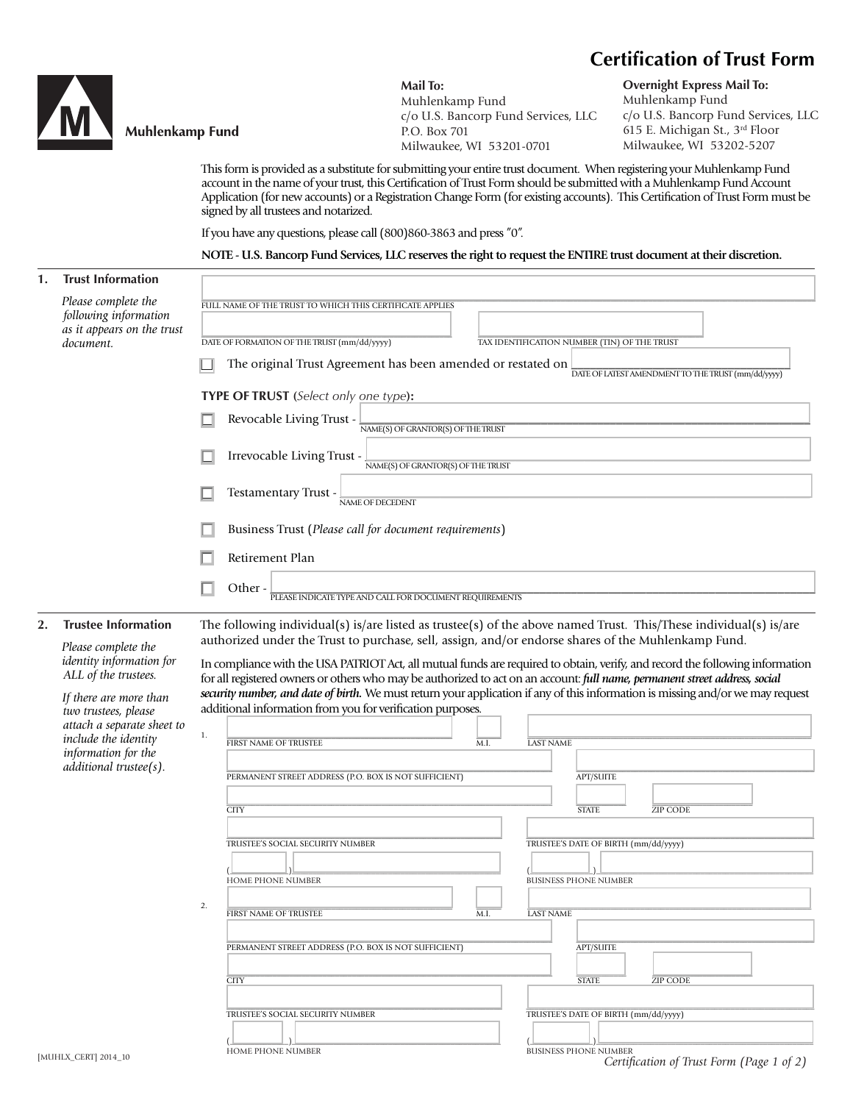# **Certification of Trust Form**



## **Muhlenkamp Fund**

**Mail To:** Muhlenkamp Fund c/o U.S. Bancorp Fund Services, LLC P.O. Box 701 Milwaukee, WI 53201-0701

**Overnight Express Mail To:** Muhlenkamp Fund c/o U.S. Bancorp Fund Services, LLC 615 E. Michigan St., 3rd Floor Milwaukee, WI 53202-5207

This form is provided as a substitute for submitting your entire trust document. When registering your Muhlenkamp Fund account in the name of your trust, this Certification of Trust Form should be submitted with a Muhlenkamp Fund Account Application (for new accounts) or a Registration Change Form (for existing accounts). This Certification of Trust Form must be signed by all trustees and notarized.

\_\_\_\_\_\_\_\_\_\_\_\_\_\_\_\_\_\_\_\_\_\_\_\_\_\_\_\_\_\_\_\_\_\_\_\_\_\_\_\_\_\_\_\_\_\_\_\_\_\_\_\_\_\_\_\_\_\_\_\_\_\_\_\_\_\_\_\_\_\_\_\_\_\_\_\_\_\_\_\_\_\_\_\_\_\_\_\_\_\_\_\_\_\_\_\_\_\_\_\_\_\_\_\_\_\_\_\_\_\_\_\_\_\_\_\_\_\_\_\_\_\_\_\_\_\_\_\_\_\_\_\_\_\_\_\_\_\_\_\_\_\_\_\_\_\_\_ FULL NAME OF THE TRUST TO WHICH THIS CERTIFICATE APPLIES

TAX IDENTIFICATION NUMBER (TIN) OF THE TRUST

If you have any questions, please call (800)860-3863 and press "0".

#### **NOTE - U.S. Bancorp Fund Services, LLC reserves the right to request the ENTIRE trust document at their discretion.**

# **1. Trust Information**

*Please complete the following information as it appears on the trust document.* 

 $\Box$  The original Trust Agreement has been amended or restated on  $\Box$ **DATE OF LATEST AMENDMENT TO THE TRUST** (mm/dd/yyyy)

**TYPE OF TRUST (***Select only one type***):**

DATE OF FORMATION OF THE TRUST  $(\text{mm}/\text{dd}/\text{vvvv})$ 

Revocable Living Trust -  $\frac{1}{\text{NAME}(S) \text{OF GRANTOR}(S) \text{ OF THEN UIST}}$ 

Irrevocable Living Trust -  $\frac{1}{NAME(S) OF GRANTOR(S) OF THE TRUST}$ 

Testamentary Trust -  $\frac{1}{NAME OF DECEDEN}$ 

Business Trust (*Please call for document requirements*)

Retirement Plan

Other - <u>Delase indicate type and call for document requirements</u>

### **2. Trustee Information**

*Please complete the identity information for ALL of the trustees.* 

 *If there are more than two trustees, please attach a separate sheet to include the identity information for the additional trustee(s).* 

| The following individual(s) is/are listed as trustee(s) of the above named Trust. This/These individual(s) is/are |
|-------------------------------------------------------------------------------------------------------------------|
| authorized under the Trust to purchase, sell, assign, and/or endorse shares of the Muhlenkamp Fund.               |
|                                                                                                                   |

In compliance with the USA PATRIOT Act, all mutual funds are required to obtain, verify, and record the following information for all registered owners or others who may be authorized to act on an account: *full name, permanent street address, social security number, and date of birth.* We must return your application if any of this information is missing and/or we may request additional information from you for verification purposes.

| attach a separate sheet to<br>include the identity<br>information for the | 1. | <b>FIRST NAME OF TRUSTEE</b>                          | M.I. | <b>LAST NAME</b>                                                        |
|---------------------------------------------------------------------------|----|-------------------------------------------------------|------|-------------------------------------------------------------------------|
| additional trustee(s).                                                    |    | PERMANENT STREET ADDRESS (P.O. BOX IS NOT SUFFICIENT) |      | <b>APT/SUITE</b>                                                        |
|                                                                           |    | <b>CITY</b><br>TRUSTEE'S SOCIAL SECURITY NUMBER       |      | <b>STATE</b><br><b>ZIP CODE</b><br>TRUSTEE'S DATE OF BIRTH (mm/dd/yyyy) |
|                                                                           |    | <b>HOME PHONE NUMBER</b>                              |      | <b>BUSINESS PHONE NUMBER</b>                                            |
|                                                                           | 2. | FIRST NAME OF TRUSTEE                                 | M.I. | <b>LAST NAME</b>                                                        |
|                                                                           |    | PERMANENT STREET ADDRESS (P.O. BOX IS NOT SUFFICIENT) |      | <b>APT/SUITE</b>                                                        |
|                                                                           |    | <b>CITY</b>                                           |      | <b>STATE</b><br><b>ZIP CODE</b>                                         |
|                                                                           |    | TRUSTEE'S SOCIAL SECURITY NUMBER                      |      | TRUSTEE'S DATE OF BIRTH (mm/dd/yyyy)                                    |
|                                                                           |    | <b>HOME PHONE NUMBER</b>                              |      | <b>BUSINESS PHONE NUMBER</b>                                            |
| [MUHLX_CERT] 2014_10                                                      |    |                                                       |      | Certification of Trust Form (Page 1 of 2)                               |